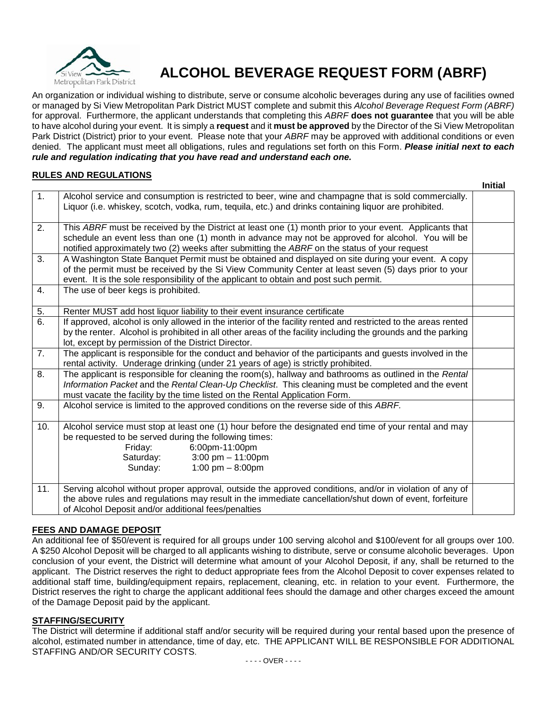

# **ALCOHOL BEVERAGE REQUEST FORM (ABRF)**

An organization or individual wishing to distribute, serve or consume alcoholic beverages during any use of facilities owned or managed by Si View Metropolitan Park District MUST complete and submit this *Alcohol Beverage Request Form (ABRF)* for approval. Furthermore, the applicant understands that completing this *ABRF* **does not guarantee** that you will be able to have alcohol during your event. It is simply a **request** and it **must be approved** by the Director of the Si View Metropolitan Park District (District) prior to your event. Please note that your *ABRF* may be approved with additional conditions or even denied. The applicant must meet all obligations, rules and regulations set forth on this Form. *Please initial next to each rule and regulation indicating that you have read and understand each one.*

## **RULES AND REGULATIONS**

|     |                                                                                                                                                                                                                                                                                                             | <b>Initial</b> |
|-----|-------------------------------------------------------------------------------------------------------------------------------------------------------------------------------------------------------------------------------------------------------------------------------------------------------------|----------------|
| 1.  | Alcohol service and consumption is restricted to beer, wine and champagne that is sold commercially.<br>Liquor (i.e. whiskey, scotch, vodka, rum, tequila, etc.) and drinks containing liquor are prohibited.                                                                                               |                |
| 2.  | This ABRF must be received by the District at least one (1) month prior to your event. Applicants that<br>schedule an event less than one (1) month in advance may not be approved for alcohol. You will be<br>notified approximately two (2) weeks after submitting the ABRF on the status of your request |                |
| 3.  | A Washington State Banquet Permit must be obtained and displayed on site during your event. A copy<br>of the permit must be received by the Si View Community Center at least seven (5) days prior to your<br>event. It is the sole responsibility of the applicant to obtain and post such permit.         |                |
| 4.  | The use of beer kegs is prohibited.                                                                                                                                                                                                                                                                         |                |
| 5.  | Renter MUST add host liquor liability to their event insurance certificate                                                                                                                                                                                                                                  |                |
| 6.  | If approved, alcohol is only allowed in the interior of the facility rented and restricted to the areas rented<br>by the renter. Alcohol is prohibited in all other areas of the facility including the grounds and the parking<br>lot, except by permission of the District Director.                      |                |
| 7.  | The applicant is responsible for the conduct and behavior of the participants and guests involved in the<br>rental activity. Underage drinking (under 21 years of age) is strictly prohibited.                                                                                                              |                |
| 8.  | The applicant is responsible for cleaning the room(s), hallway and bathrooms as outlined in the Rental<br>Information Packet and the Rental Clean-Up Checklist. This cleaning must be completed and the event<br>must vacate the facility by the time listed on the Rental Application Form.                |                |
| 9.  | Alcohol service is limited to the approved conditions on the reverse side of this ABRF.                                                                                                                                                                                                                     |                |
| 10. | Alcohol service must stop at least one (1) hour before the designated end time of your rental and may<br>be requested to be served during the following times:<br>6:00pm-11:00pm<br>Friday:<br>3:00 pm $- 11:00$ pm<br>Saturday:<br>1:00 pm $-$ 8:00pm<br>Sunday:                                           |                |
| 11. | Serving alcohol without proper approval, outside the approved conditions, and/or in violation of any of<br>the above rules and regulations may result in the immediate cancellation/shut down of event, forfeiture<br>of Alcohol Deposit and/or additional fees/penalties                                   |                |

### **FEES AND DAMAGE DEPOSIT**

An additional fee of \$50/event is required for all groups under 100 serving alcohol and \$100/event for all groups over 100. A \$250 Alcohol Deposit will be charged to all applicants wishing to distribute, serve or consume alcoholic beverages. Upon conclusion of your event, the District will determine what amount of your Alcohol Deposit, if any, shall be returned to the applicant. The District reserves the right to deduct appropriate fees from the Alcohol Deposit to cover expenses related to additional staff time, building/equipment repairs, replacement, cleaning, etc. in relation to your event. Furthermore, the District reserves the right to charge the applicant additional fees should the damage and other charges exceed the amount of the Damage Deposit paid by the applicant.

### **STAFFING/SECURITY**

The District will determine if additional staff and/or security will be required during your rental based upon the presence of alcohol, estimated number in attendance, time of day, etc. THE APPLICANT WILL BE RESPONSIBLE FOR ADDITIONAL STAFFING AND/OR SECURITY COSTS.